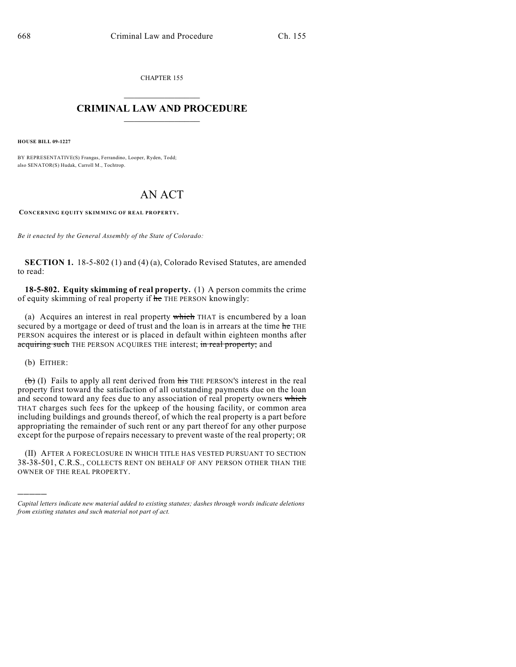CHAPTER 155  $\mathcal{L}_\text{max}$  . The set of the set of the set of the set of the set of the set of the set of the set of the set of the set of the set of the set of the set of the set of the set of the set of the set of the set of the set

## **CRIMINAL LAW AND PROCEDURE**  $\_$   $\_$   $\_$   $\_$   $\_$   $\_$   $\_$   $\_$   $\_$   $\_$

**HOUSE BILL 09-1227**

BY REPRESENTATIVE(S) Frangas, Ferrandino, Looper, Ryden, Todd; also SENATOR(S) Hudak, Carroll M., Tochtrop.

## AN ACT

**CONCERNING EQUITY SKIMMING OF REAL PROPERTY.**

*Be it enacted by the General Assembly of the State of Colorado:*

**SECTION 1.** 18-5-802 (1) and (4) (a), Colorado Revised Statutes, are amended to read:

**18-5-802. Equity skimming of real property.** (1) A person commits the crime of equity skimming of real property if  $\frac{1}{h}$  THE PERSON knowingly:

(a) Acquires an interest in real property which THAT is encumbered by a loan secured by a mortgage or deed of trust and the loan is in arrears at the time he THE PERSON acquires the interest or is placed in default within eighteen months after acquiring such THE PERSON ACQUIRES THE interest; in real property; and

(b) EITHER:

)))))

 $(b)$  (I) Fails to apply all rent derived from  $\frac{h}{b}$  THE PERSON's interest in the real property first toward the satisfaction of all outstanding payments due on the loan and second toward any fees due to any association of real property owners which THAT charges such fees for the upkeep of the housing facility, or common area including buildings and grounds thereof, of which the real property is a part before appropriating the remainder of such rent or any part thereof for any other purpose except for the purpose of repairs necessary to prevent waste of the real property; OR

(II) AFTER A FORECLOSURE IN WHICH TITLE HAS VESTED PURSUANT TO SECTION 38-38-501, C.R.S., COLLECTS RENT ON BEHALF OF ANY PERSON OTHER THAN THE OWNER OF THE REAL PROPERTY.

*Capital letters indicate new material added to existing statutes; dashes through words indicate deletions from existing statutes and such material not part of act.*